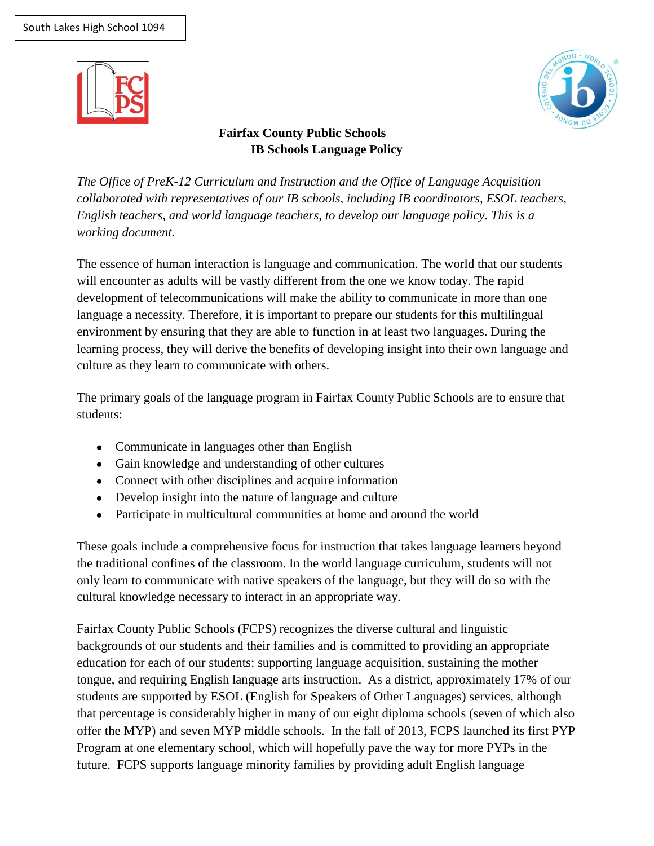



# **Fairfax County Public Schools IB Schools Language Policy**

*The Office of PreK-12 Curriculum and Instruction and the Office of Language Acquisition collaborated with representatives of our IB schools, including IB coordinators, ESOL teachers, English teachers, and world language teachers, to develop our language policy. This is a working document.* 

The essence of human interaction is language and communication. The world that our students will encounter as adults will be vastly different from the one we know today. The rapid development of telecommunications will make the ability to communicate in more than one language a necessity. Therefore, it is important to prepare our students for this multilingual environment by ensuring that they are able to function in at least two languages. During the learning process, they will derive the benefits of developing insight into their own language and culture as they learn to communicate with others.

The primary goals of the language program in Fairfax County Public Schools are to ensure that students:

- Communicate in languages other than English
- Gain knowledge and understanding of other cultures
- Connect with other disciplines and acquire information
- Develop insight into the nature of language and culture
- Participate in multicultural communities at home and around the world

These goals include a comprehensive focus for instruction that takes language learners beyond the traditional confines of the classroom. In the world language curriculum, students will not only learn to communicate with native speakers of the language, but they will do so with the cultural knowledge necessary to interact in an appropriate way.

Fairfax County Public Schools (FCPS) recognizes the diverse cultural and linguistic backgrounds of our students and their families and is committed to providing an appropriate education for each of our students: supporting language acquisition, sustaining the mother tongue, and requiring English language arts instruction. As a district, approximately 17% of our students are supported by ESOL (English for Speakers of Other Languages) services, although that percentage is considerably higher in many of our eight diploma schools (seven of which also offer the MYP) and seven MYP middle schools. In the fall of 2013, FCPS launched its first PYP Program at one elementary school, which will hopefully pave the way for more PYPs in the future. FCPS supports language minority families by providing adult English language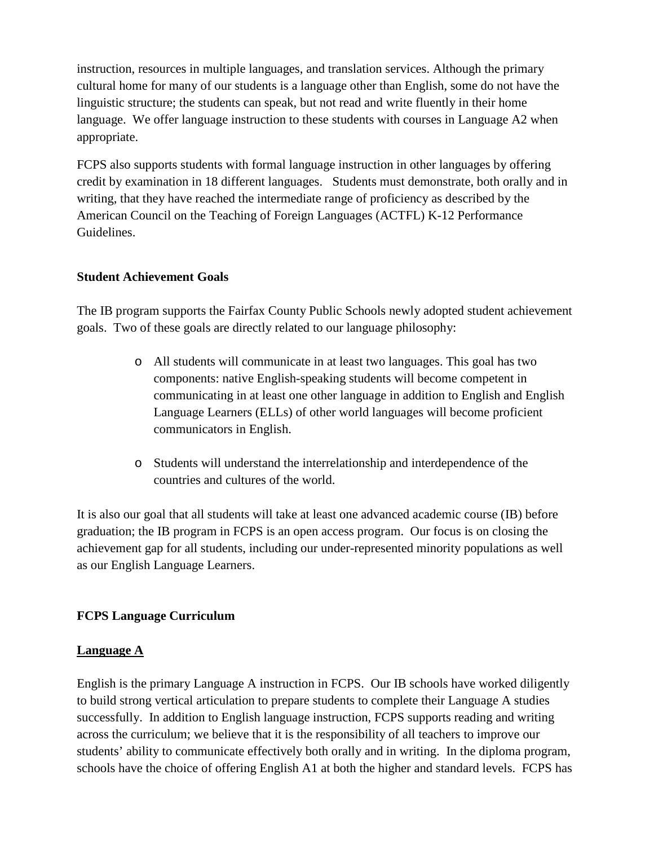instruction, resources in multiple languages, and translation services. Although the primary cultural home for many of our students is a language other than English, some do not have the linguistic structure; the students can speak, but not read and write fluently in their home language. We offer language instruction to these students with courses in Language A2 when appropriate.

FCPS also supports students with formal language instruction in other languages by offering credit by examination in 18 different languages. Students must demonstrate, both orally and in writing, that they have reached the intermediate range of proficiency as described by the American Council on the Teaching of Foreign Languages (ACTFL) K-12 Performance Guidelines.

# **Student Achievement Goals**

The IB program supports the Fairfax County Public Schools newly adopted student achievement goals. Two of these goals are directly related to our language philosophy:

- o All students will communicate in at least two languages. This goal has two components: native English-speaking students will become competent in communicating in at least one other language in addition to English and English Language Learners (ELLs) of other world languages will become proficient communicators in English.
- o Students will understand the interrelationship and interdependence of the countries and cultures of the world.

It is also our goal that all students will take at least one advanced academic course (IB) before graduation; the IB program in FCPS is an open access program. Our focus is on closing the achievement gap for all students, including our under-represented minority populations as well as our English Language Learners.

# **FCPS Language Curriculum**

## **Language A**

English is the primary Language A instruction in FCPS. Our IB schools have worked diligently to build strong vertical articulation to prepare students to complete their Language A studies successfully. In addition to English language instruction, FCPS supports reading and writing across the curriculum; we believe that it is the responsibility of all teachers to improve our students' ability to communicate effectively both orally and in writing. In the diploma program, schools have the choice of offering English A1 at both the higher and standard levels. FCPS has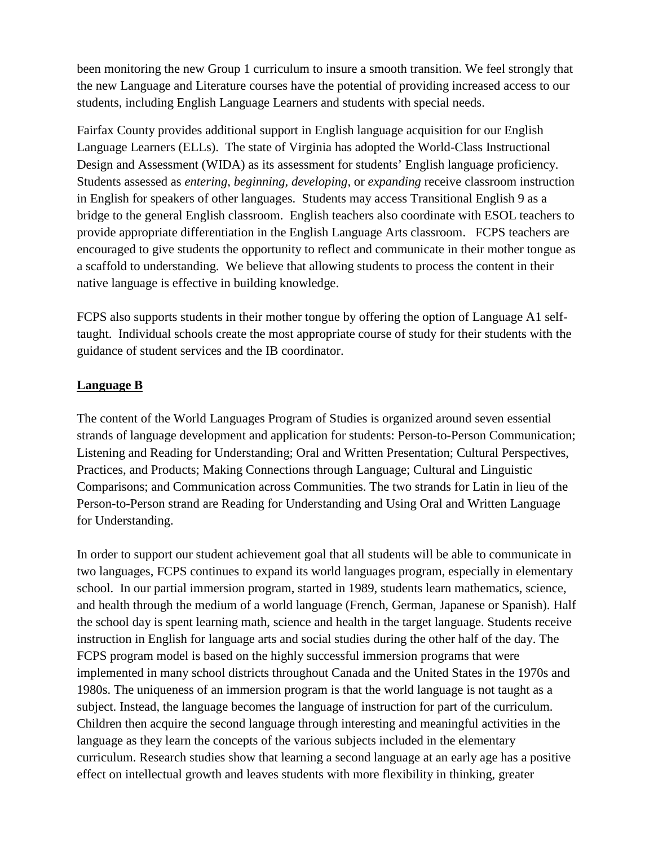been monitoring the new Group 1 curriculum to insure a smooth transition. We feel strongly that the new Language and Literature courses have the potential of providing increased access to our students, including English Language Learners and students with special needs.

Fairfax County provides additional support in English language acquisition for our English Language Learners (ELLs). The state of Virginia has adopted the World-Class Instructional Design and Assessment (WIDA) as its assessment for students' English language proficiency. Students assessed as *entering*, *beginning, developing,* or *expanding* receive classroom instruction in English for speakers of other languages. Students may access Transitional English 9 as a bridge to the general English classroom. English teachers also coordinate with ESOL teachers to provide appropriate differentiation in the English Language Arts classroom. FCPS teachers are encouraged to give students the opportunity to reflect and communicate in their mother tongue as a scaffold to understanding. We believe that allowing students to process the content in their native language is effective in building knowledge.

FCPS also supports students in their mother tongue by offering the option of Language A1 selftaught. Individual schools create the most appropriate course of study for their students with the guidance of student services and the IB coordinator.

## **Language B**

The content of the World Languages Program of Studies is organized around seven essential strands of language development and application for students: Person-to-Person Communication; Listening and Reading for Understanding; Oral and Written Presentation; Cultural Perspectives, Practices, and Products; Making Connections through Language; Cultural and Linguistic Comparisons; and Communication across Communities. The two strands for Latin in lieu of the Person-to-Person strand are Reading for Understanding and Using Oral and Written Language for Understanding.

In order to support our student achievement goal that all students will be able to communicate in two languages, FCPS continues to expand its world languages program, especially in elementary school. In our partial immersion program, started in 1989, students learn mathematics, science, and health through the medium of a world language (French, German, Japanese or Spanish). Half the school day is spent learning math, science and health in the target language. Students receive instruction in English for language arts and social studies during the other half of the day. The FCPS program model is based on the highly successful immersion programs that were implemented in many school districts throughout Canada and the United States in the 1970s and 1980s. The uniqueness of an immersion program is that the world language is not taught as a subject. Instead, the language becomes the language of instruction for part of the curriculum. Children then acquire the second language through interesting and meaningful activities in the language as they learn the concepts of the various subjects included in the elementary curriculum. Research studies show that learning a second language at an early age has a positive effect on intellectual growth and leaves students with more flexibility in thinking, greater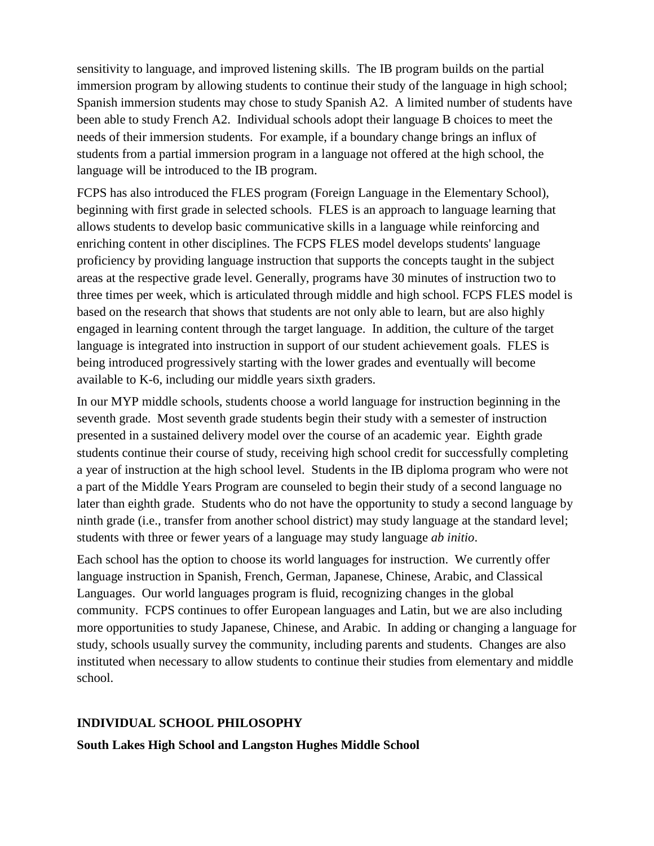sensitivity to language, and improved listening skills. The IB program builds on the partial immersion program by allowing students to continue their study of the language in high school; Spanish immersion students may chose to study Spanish A2. A limited number of students have been able to study French A2. Individual schools adopt their language B choices to meet the needs of their immersion students. For example, if a boundary change brings an influx of students from a partial immersion program in a language not offered at the high school, the language will be introduced to the IB program.

FCPS has also introduced the FLES program (Foreign Language in the Elementary School), beginning with first grade in selected schools. FLES is an approach to language learning that allows students to develop basic communicative skills in a language while reinforcing and enriching content in other disciplines. The FCPS FLES model develops students' language proficiency by providing language instruction that supports the concepts taught in the subject areas at the respective grade level. Generally, programs have 30 minutes of instruction two to three times per week, which is articulated through middle and high school. FCPS FLES model is based on the research that shows that students are not only able to learn, but are also highly engaged in learning content through the target language. In addition, the culture of the target language is integrated into instruction in support of our student achievement goals. FLES is being introduced progressively starting with the lower grades and eventually will become available to K-6, including our middle years sixth graders.

In our MYP middle schools, students choose a world language for instruction beginning in the seventh grade. Most seventh grade students begin their study with a semester of instruction presented in a sustained delivery model over the course of an academic year. Eighth grade students continue their course of study, receiving high school credit for successfully completing a year of instruction at the high school level. Students in the IB diploma program who were not a part of the Middle Years Program are counseled to begin their study of a second language no later than eighth grade. Students who do not have the opportunity to study a second language by ninth grade (i.e., transfer from another school district) may study language at the standard level; students with three or fewer years of a language may study language *ab initio*.

Each school has the option to choose its world languages for instruction. We currently offer language instruction in Spanish, French, German, Japanese, Chinese, Arabic, and Classical Languages. Our world languages program is fluid, recognizing changes in the global community. FCPS continues to offer European languages and Latin, but we are also including more opportunities to study Japanese, Chinese, and Arabic. In adding or changing a language for study, schools usually survey the community, including parents and students. Changes are also instituted when necessary to allow students to continue their studies from elementary and middle school.

## **INDIVIDUAL SCHOOL PHILOSOPHY**

#### **South Lakes High School and Langston Hughes Middle School**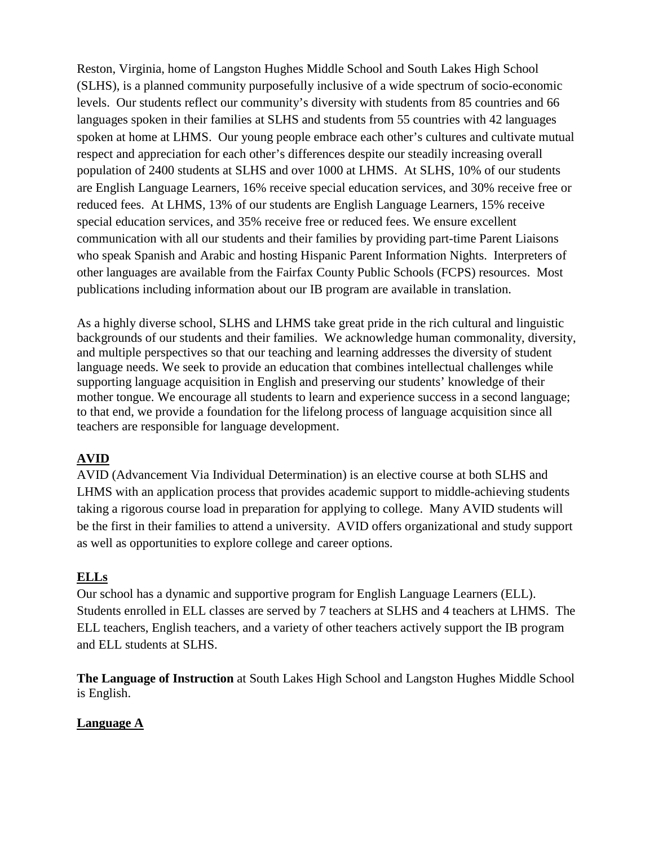Reston, Virginia, home of Langston Hughes Middle School and South Lakes High School (SLHS), is a planned community purposefully inclusive of a wide spectrum of socio-economic levels. Our students reflect our community's diversity with students from 85 countries and 66 languages spoken in their families at SLHS and students from 55 countries with 42 languages spoken at home at LHMS. Our young people embrace each other's cultures and cultivate mutual respect and appreciation for each other's differences despite our steadily increasing overall population of 2400 students at SLHS and over 1000 at LHMS. At SLHS, 10% of our students are English Language Learners, 16% receive special education services, and 30% receive free or reduced fees. At LHMS, 13% of our students are English Language Learners, 15% receive special education services, and 35% receive free or reduced fees. We ensure excellent communication with all our students and their families by providing part-time Parent Liaisons who speak Spanish and Arabic and hosting Hispanic Parent Information Nights. Interpreters of other languages are available from the Fairfax County Public Schools (FCPS) resources. Most publications including information about our IB program are available in translation.

As a highly diverse school, SLHS and LHMS take great pride in the rich cultural and linguistic backgrounds of our students and their families. We acknowledge human commonality, diversity, and multiple perspectives so that our teaching and learning addresses the diversity of student language needs. We seek to provide an education that combines intellectual challenges while supporting language acquisition in English and preserving our students' knowledge of their mother tongue. We encourage all students to learn and experience success in a second language; to that end, we provide a foundation for the lifelong process of language acquisition since all teachers are responsible for language development.

# **AVID**

AVID (Advancement Via Individual Determination) is an elective course at both SLHS and LHMS with an application process that provides academic support to middle-achieving students taking a rigorous course load in preparation for applying to college. Many AVID students will be the first in their families to attend a university. AVID offers organizational and study support as well as opportunities to explore college and career options.

# **ELLs**

Our school has a dynamic and supportive program for English Language Learners (ELL). Students enrolled in ELL classes are served by 7 teachers at SLHS and 4 teachers at LHMS. The ELL teachers, English teachers, and a variety of other teachers actively support the IB program and ELL students at SLHS.

**The Language of Instruction** at South Lakes High School and Langston Hughes Middle School is English.

## **Language A**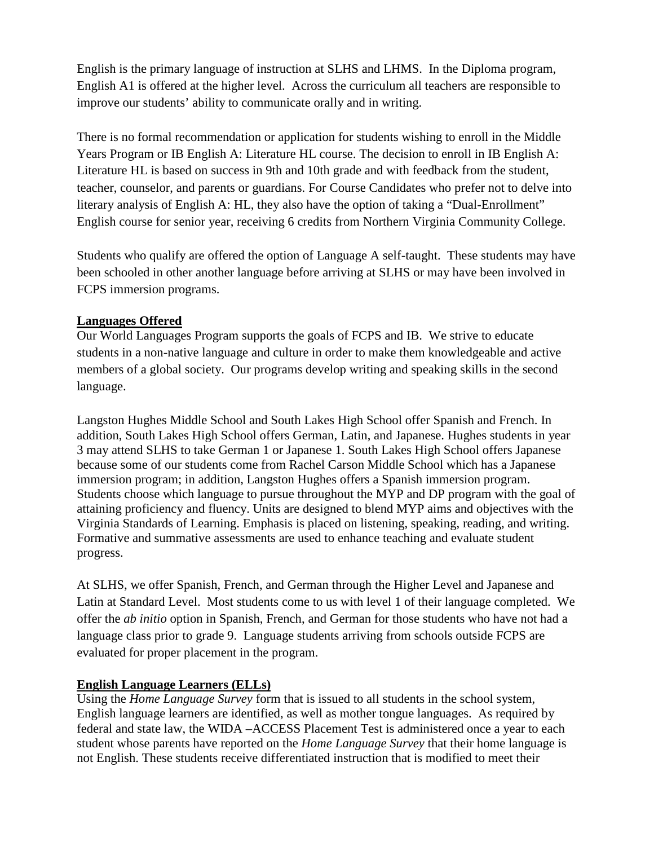English is the primary language of instruction at SLHS and LHMS. In the Diploma program, English A1 is offered at the higher level. Across the curriculum all teachers are responsible to improve our students' ability to communicate orally and in writing.

There is no formal recommendation or application for students wishing to enroll in the Middle Years Program or IB English A: Literature HL course. The decision to enroll in IB English A: Literature HL is based on success in 9th and 10th grade and with feedback from the student, teacher, counselor, and parents or guardians. For Course Candidates who prefer not to delve into literary analysis of English A: HL, they also have the option of taking a "Dual-Enrollment" English course for senior year, receiving 6 credits from Northern Virginia Community College.

Students who qualify are offered the option of Language A self-taught. These students may have been schooled in other another language before arriving at SLHS or may have been involved in FCPS immersion programs.

# **Languages Offered**

Our World Languages Program supports the goals of FCPS and IB. We strive to educate students in a non-native language and culture in order to make them knowledgeable and active members of a global society. Our programs develop writing and speaking skills in the second language.

Langston Hughes Middle School and South Lakes High School offer Spanish and French. In addition, South Lakes High School offers German, Latin, and Japanese. Hughes students in year 3 may attend SLHS to take German 1 or Japanese 1. South Lakes High School offers Japanese because some of our students come from Rachel Carson Middle School which has a Japanese immersion program; in addition, Langston Hughes offers a Spanish immersion program. Students choose which language to pursue throughout the MYP and DP program with the goal of attaining proficiency and fluency. Units are designed to blend MYP aims and objectives with the Virginia Standards of Learning. Emphasis is placed on listening, speaking, reading, and writing. Formative and summative assessments are used to enhance teaching and evaluate student progress.

At SLHS, we offer Spanish, French, and German through the Higher Level and Japanese and Latin at Standard Level. Most students come to us with level 1 of their language completed. We offer the *ab initio* option in Spanish, French, and German for those students who have not had a language class prior to grade 9. Language students arriving from schools outside FCPS are evaluated for proper placement in the program.

# **English Language Learners (ELLs)**

Using the *Home Language Survey* form that is issued to all students in the school system, English language learners are identified, as well as mother tongue languages. As required by federal and state law, the WIDA –ACCESS Placement Test is administered once a year to each student whose parents have reported on the *Home Language Survey* that their home language is not English. These students receive differentiated instruction that is modified to meet their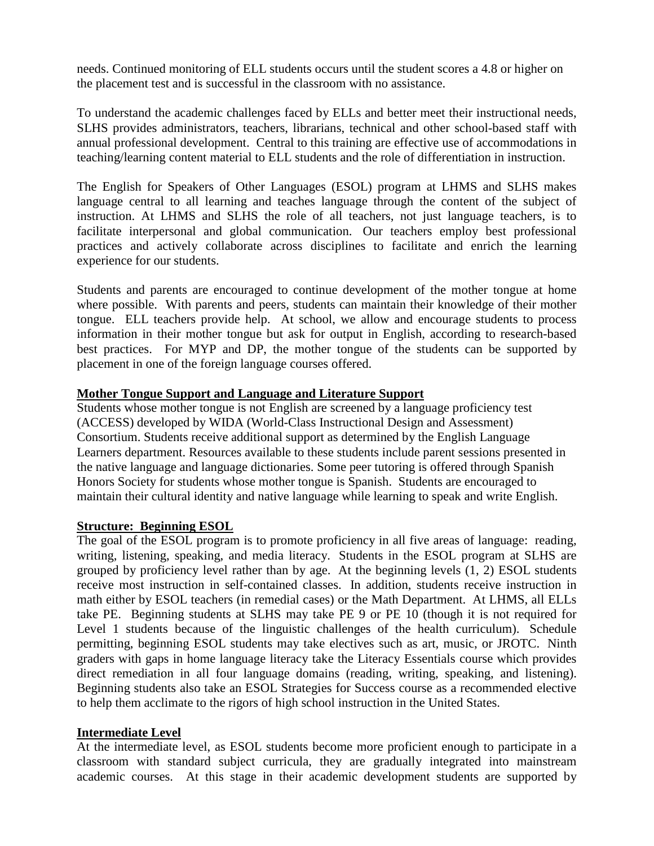needs. Continued monitoring of ELL students occurs until the student scores a 4.8 or higher on the placement test and is successful in the classroom with no assistance.

To understand the academic challenges faced by ELLs and better meet their instructional needs, SLHS provides administrators, teachers, librarians, technical and other school-based staff with annual professional development. Central to this training are effective use of accommodations in teaching/learning content material to ELL students and the role of differentiation in instruction.

The English for Speakers of Other Languages (ESOL) program at LHMS and SLHS makes language central to all learning and teaches language through the content of the subject of instruction. At LHMS and SLHS the role of all teachers, not just language teachers, is to facilitate interpersonal and global communication. Our teachers employ best professional practices and actively collaborate across disciplines to facilitate and enrich the learning experience for our students.

Students and parents are encouraged to continue development of the mother tongue at home where possible. With parents and peers, students can maintain their knowledge of their mother tongue. ELL teachers provide help. At school, we allow and encourage students to process information in their mother tongue but ask for output in English, according to research-based best practices. For MYP and DP, the mother tongue of the students can be supported by placement in one of the foreign language courses offered.

### **Mother Tongue Support and Language and Literature Support**

Students whose mother tongue is not English are screened by a language proficiency test (ACCESS) developed by WIDA (World-Class Instructional Design and Assessment) Consortium. Students receive additional support as determined by the English Language Learners department. Resources available to these students include parent sessions presented in the native language and language dictionaries. Some peer tutoring is offered through Spanish Honors Society for students whose mother tongue is Spanish. Students are encouraged to maintain their cultural identity and native language while learning to speak and write English.

#### **Structure: Beginning ESOL**

The goal of the ESOL program is to promote proficiency in all five areas of language: reading, writing, listening, speaking, and media literacy. Students in the ESOL program at SLHS are grouped by proficiency level rather than by age. At the beginning levels (1, 2) ESOL students receive most instruction in self-contained classes. In addition, students receive instruction in math either by ESOL teachers (in remedial cases) or the Math Department. At LHMS, all ELLs take PE. Beginning students at SLHS may take PE 9 or PE 10 (though it is not required for Level 1 students because of the linguistic challenges of the health curriculum). Schedule permitting, beginning ESOL students may take electives such as art, music, or JROTC. Ninth graders with gaps in home language literacy take the Literacy Essentials course which provides direct remediation in all four language domains (reading, writing, speaking, and listening). Beginning students also take an ESOL Strategies for Success course as a recommended elective to help them acclimate to the rigors of high school instruction in the United States.

#### **Intermediate Level**

At the intermediate level, as ESOL students become more proficient enough to participate in a classroom with standard subject curricula, they are gradually integrated into mainstream academic courses. At this stage in their academic development students are supported by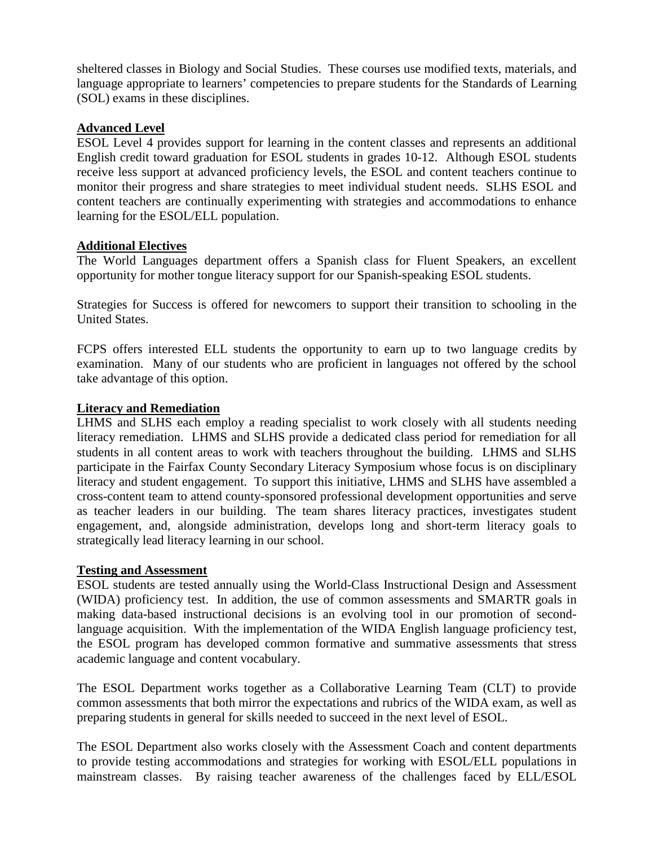sheltered classes in Biology and Social Studies. These courses use modified texts, materials, and language appropriate to learners' competencies to prepare students for the Standards of Learning (SOL) exams in these disciplines.

#### **Advanced Level**

ESOL Level 4 provides support for learning in the content classes and represents an additional English credit toward graduation for ESOL students in grades 10-12. Although ESOL students receive less support at advanced proficiency levels, the ESOL and content teachers continue to monitor their progress and share strategies to meet individual student needs. SLHS ESOL and content teachers are continually experimenting with strategies and accommodations to enhance learning for the ESOL/ELL population.

### **Additional Electives**

The World Languages department offers a Spanish class for Fluent Speakers, an excellent opportunity for mother tongue literacy support for our Spanish-speaking ESOL students.

Strategies for Success is offered for newcomers to support their transition to schooling in the United States.

FCPS offers interested ELL students the opportunity to earn up to two language credits by examination. Many of our students who are proficient in languages not offered by the school take advantage of this option.

### **Literacy and Remediation**

LHMS and SLHS each employ a reading specialist to work closely with all students needing literacy remediation. LHMS and SLHS provide a dedicated class period for remediation for all students in all content areas to work with teachers throughout the building. LHMS and SLHS participate in the Fairfax County Secondary Literacy Symposium whose focus is on disciplinary literacy and student engagement. To support this initiative, LHMS and SLHS have assembled a cross-content team to attend county-sponsored professional development opportunities and serve as teacher leaders in our building. The team shares literacy practices, investigates student engagement, and, alongside administration, develops long and short-term literacy goals to strategically lead literacy learning in our school.

#### **Testing and Assessment**

ESOL students are tested annually using the World-Class Instructional Design and Assessment (WIDA) proficiency test. In addition, the use of common assessments and SMARTR goals in making data-based instructional decisions is an evolving tool in our promotion of secondlanguage acquisition. With the implementation of the WIDA English language proficiency test, the ESOL program has developed common formative and summative assessments that stress academic language and content vocabulary.

The ESOL Department works together as a Collaborative Learning Team (CLT) to provide common assessments that both mirror the expectations and rubrics of the WIDA exam, as well as preparing students in general for skills needed to succeed in the next level of ESOL.

The ESOL Department also works closely with the Assessment Coach and content departments to provide testing accommodations and strategies for working with ESOL/ELL populations in mainstream classes. By raising teacher awareness of the challenges faced by ELL/ESOL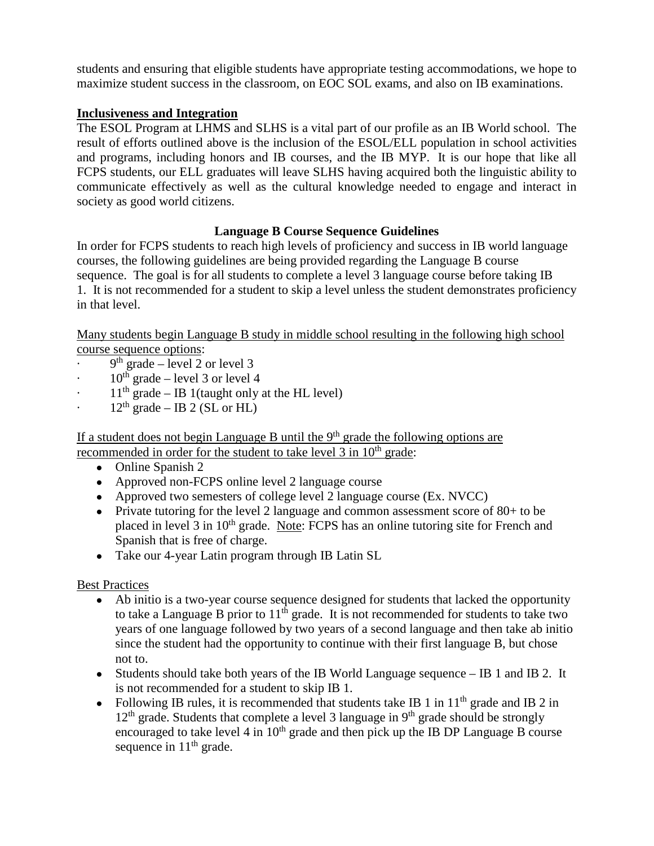students and ensuring that eligible students have appropriate testing accommodations, we hope to maximize student success in the classroom, on EOC SOL exams, and also on IB examinations.

# **Inclusiveness and Integration**

The ESOL Program at LHMS and SLHS is a vital part of our profile as an IB World school. The result of efforts outlined above is the inclusion of the ESOL/ELL population in school activities and programs, including honors and IB courses, and the IB MYP. It is our hope that like all FCPS students, our ELL graduates will leave SLHS having acquired both the linguistic ability to communicate effectively as well as the cultural knowledge needed to engage and interact in society as good world citizens.

# **Language B Course Sequence Guidelines**

In order for FCPS students to reach high levels of proficiency and success in IB world language courses, the following guidelines are being provided regarding the Language B course sequence. The goal is for all students to complete a level 3 language course before taking IB 1. It is not recommended for a student to skip a level unless the student demonstrates proficiency in that level.

Many students begin Language B study in middle school resulting in the following high school course sequence options:

- $\cdot$  9<sup>th</sup> grade level 2 or level 3
- $10^{th}$  grade level 3 or level 4
- $11<sup>th</sup>$  grade IB 1(taught only at the HL level)
- $12<sup>th</sup>$  grade IB 2 (SL or HL)

If a student does not begin Language B until the  $9<sup>th</sup>$  grade the following options are recommended in order for the student to take level 3 in 10<sup>th</sup> grade:

- Online Spanish 2
- Approved non-FCPS online level 2 language course
- Approved two semesters of college level 2 language course (Ex. NVCC)
- Private tutoring for the level 2 language and common assessment score of  $80+$  to be placed in level 3 in 10<sup>th</sup> grade. Note: FCPS has an online tutoring site for French and Spanish that is free of charge.
- Take our 4-year Latin program through IB Latin SL

## Best Practices

- Ab initio is a two-year course sequence designed for students that lacked the opportunity to take a Language B prior to  $11<sup>th</sup>$  grade. It is not recommended for students to take two years of one language followed by two years of a second language and then take ab initio since the student had the opportunity to continue with their first language B, but chose not to.
- Students should take both years of the IB World Language sequence  $-$  IB 1 and IB 2. It is not recommended for a student to skip IB 1.
- Following IB rules, it is recommended that students take IB 1 in  $11<sup>th</sup>$  grade and IB 2 in  $12<sup>th</sup>$  grade. Students that complete a level 3 language in 9<sup>th</sup> grade should be strongly encouraged to take level 4 in  $10<sup>th</sup>$  grade and then pick up the IB DP Language B course sequence in  $11<sup>th</sup>$  grade.